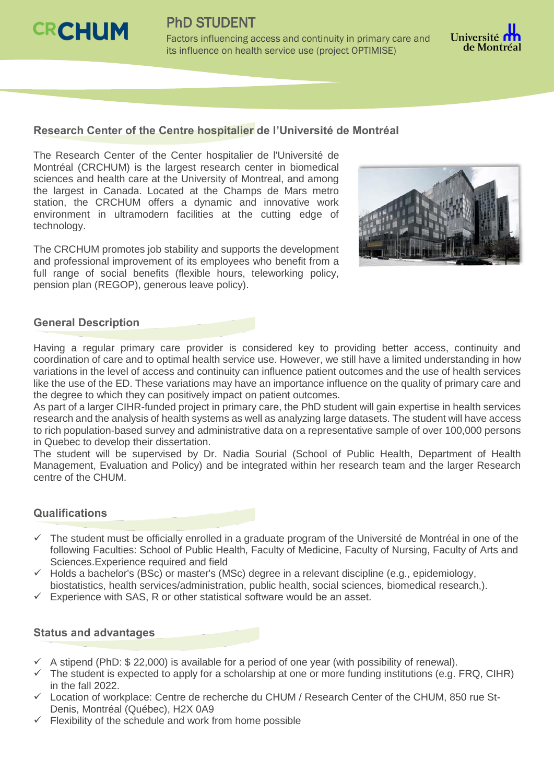

PhD STUDENT

Factors influencing access and continuity in primary care and its influence on health service use (project OPTIMISE)



## **Research Center of the Centre hospitalier de l'Université de Montréal**

The Research Center of the Center hospitalier de l'Université de Montréal (CRCHUM) is the largest research center in biomedical sciences and health care at the University of Montreal, and among the largest in Canada. Located at the Champs de Mars metro station, the CRCHUM offers a dynamic and innovative work environment in ultramodern facilities at the cutting edge of technology.

The CRCHUM promotes job stability and supports the development and professional improvement of its employees who benefit from a full range of social benefits (flexible hours, teleworking policy, pension plan (REGOP), generous leave policy).



### **General Description**

Having a regular primary care provider is considered key to providing better access, continuity and coordination of care and to optimal health service use. However, we still have a limited understanding in how variations in the level of access and continuity can influence patient outcomes and the use of health services like the use of the ED. These variations may have an importance influence on the quality of primary care and the degree to which they can positively impact on patient outcomes.

As part of a larger CIHR-funded project in primary care, the PhD student will gain expertise in health services research and the analysis of health systems as well as analyzing large datasets. The student will have access to rich population-based survey and administrative data on a representative sample of over 100,000 persons in Quebec to develop their dissertation.

The student will be supervised by Dr. Nadia Sourial (School of Public Health, Department of Health Management, Evaluation and Policy) and be integrated within her research team and the larger Research centre of the CHUM.

### **Qualifications**

- $\checkmark$  The student must be officially enrolled in a graduate program of the Université de Montréal in one of the following Faculties: School of Public Health, Faculty of Medicine, Faculty of Nursing, Faculty of Arts and Sciences.Experience required and field
- $\checkmark$  Holds a bachelor's (BSc) or master's (MSc) degree in a relevant discipline (e.g., epidemiology, biostatistics, health services/administration, public health, social sciences, biomedical research,).
- $\checkmark$  Experience with SAS, R or other statistical software would be an asset.

### **Status and advantages**

- $\checkmark$  A stipend (PhD: \$ 22,000) is available for a period of one year (with possibility of renewal).
- $\checkmark$  The student is expected to apply for a scholarship at one or more funding institutions (e.g. FRQ, CIHR) in the fall 2022.
- $\checkmark$  Location of workplace: Centre de recherche du CHUM / Research Center of the CHUM, 850 rue St-Denis, Montréal (Québec), H2X 0A9
- $\checkmark$  Flexibility of the schedule and work from home possible